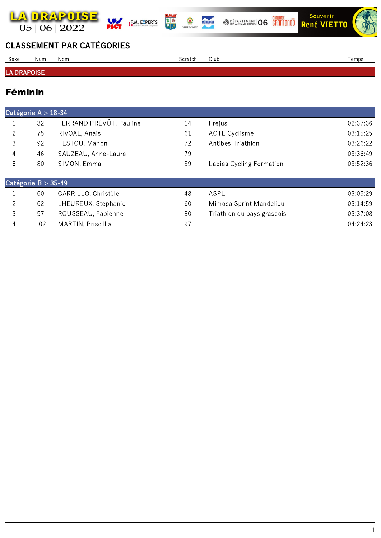

 $\blacksquare$ **F.M. EXPERTS** 



製學





## CLASSEMENT PAR CATÉGORIES

| Sexe               | Num | Nom | Scratch | Club | Temps |  |
|--------------------|-----|-----|---------|------|-------|--|
|                    |     |     |         |      |       |  |
| <b>LA DRAPOISE</b> |     |     |         |      |       |  |

## Féminin

|   | Catégorie A $>$ 18-34 |                         |    |                            |          |  |  |  |
|---|-----------------------|-------------------------|----|----------------------------|----------|--|--|--|
|   | 32                    | FERRAND PRÉVÔT, Pauline | 14 | Frejus                     | 02:37:36 |  |  |  |
| 2 | 75                    | RIVOAL, Anais           | 61 | <b>AOTL Cyclisme</b>       | 03:15:25 |  |  |  |
| 3 | 92                    | TESTOU, Manon           | 72 | Antibes Triathlon          | 03:26:22 |  |  |  |
| 4 | 46                    | SAUZEAU, Anne-Laure     | 79 |                            | 03:36:49 |  |  |  |
| 5 | 80                    | SIMON, Emma             | 89 | Ladies Cycling Formation   | 03:52:36 |  |  |  |
|   | Catégorie $B > 35-49$ |                         |    |                            |          |  |  |  |
|   | 60                    | CARRILLO, Christèle     | 48 | ASPL                       | 03:05:29 |  |  |  |
| 2 | 62                    | LHEUREUX, Stephanie     | 60 | Mimosa Sprint Mandelieu    | 03:14:59 |  |  |  |
| 3 | 57                    | ROUSSEAU, Fabienne      | 80 | Triathlon du pays grassois | 03:37:08 |  |  |  |
| 4 | 102                   | MARTIN, Priscillia      | 97 |                            | 04:24:23 |  |  |  |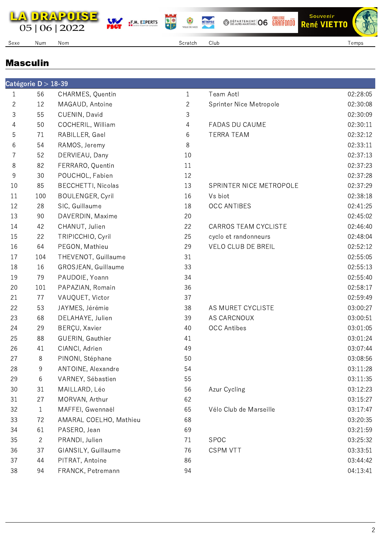









Souvenir

Sexe Num Nom Scratch Club Temps

MÉTROPOLE

## Masculin

|              | Catégorie D $>$ 18-39 |                           |              |                           |          |
|--------------|-----------------------|---------------------------|--------------|---------------------------|----------|
| 1            | 56                    | CHARMES, Quentin          | $\mathbf{1}$ | Team Aotl                 | 02:28:05 |
| $\mathbf{2}$ | 12                    | MAGAUD, Antoine           | $\mathbf{2}$ | Sprinter Nice Metropole   | 02:30:08 |
| 3            | 55                    | CUENIN, David             | 3            |                           | 02:30:09 |
| 4            | 50                    | COCHERIL, William         | 4            | FADAS DU CAUME            | 02:30:11 |
| 5            | 71                    | RABILLER, Gael            | 6            | <b>TERRA TEAM</b>         | 02:32:12 |
| 6            | 54                    | RAMOS, Jeremy             | 8            |                           | 02:33:11 |
| 7            | 52                    | DERVIEAU, Dany            | 10           |                           | 02:37:13 |
| 8            | 82                    | FERRARO, Quentin          | 11           |                           | 02:37:23 |
| 9            | 30                    | POUCHOL, Fabien           | 12           |                           | 02:37:28 |
| 10           | 85                    | <b>BECCHETTI, Nicolas</b> | 13           | SPRINTER NICE METROPOLE   | 02:37:29 |
| 11           | 100                   | <b>BOULENGER, Cyril</b>   | 16           | Vs biot                   | 02:38:18 |
| 12           | 28                    | SIC, Guillaume            | 18           | <b>OCC ANTIBES</b>        | 02:41:25 |
| 13           | 90                    | DAVERDIN, Maxime          | 20           |                           | 02:45:02 |
| 14           | 42                    | CHANUT, Julien            | 22           | CARROS TEAM CYCLISTE      | 02:46:40 |
| 15           | 22                    | TRIPICCHIO, Cyril         | 25           | cyclo et randonneurs      | 02:48:04 |
| 16           | 64                    | PEGON, Mathieu            | 29           | <b>VELO CLUB DE BREIL</b> | 02:52:12 |
| 17           | 104                   | THEVENOT, Guillaume       | 31           |                           | 02:55:05 |
| 18           | 16                    | GROSJEAN, Guillaume       | 33           |                           | 02:55:13 |
| 19           | 79                    | PAUDOIE, Yoann            | 34           |                           | 02:55:40 |
| 20           | 101                   | PAPAZIAN, Romain          | 36           |                           | 02:58:17 |
| 21           | 77                    | VAUQUET, Victor           | 37           |                           | 02:59:49 |
| 22           | 53                    | JAYMES, Jérémie           | 38           | AS MURET CYCLISTE         | 03:00:27 |
| 23           | 68                    | DELAHAYE, Julien          | 39           | AS CARCNOUX               | 03:00:51 |
| 24           | 29                    | BERÇU, Xavier             | 40           | <b>OCC Antibes</b>        | 03:01:05 |
| 25           | 88                    | GUERIN, Gauthier          | 41           |                           | 03:01:24 |
| 26           | 41                    | CIANCI, Adrien            | 49           |                           | 03:07:44 |
| 27           | 8                     | PINONI, Stéphane          | 50           |                           | 03:08:56 |
| 28           | 9                     | ANTOINE, Alexandre        | 54           |                           | 03:11:28 |
| 29           | 6                     | VARNEY, Sébastien         | 55           |                           | 03:11:35 |
| 30           | 31                    | MAILLARD, Léo             | 56           | Azur Cycling              | 03:12:23 |
| 31           | 27                    | MORVAN, Arthur            | 62           |                           | 03:15:27 |
| 32           | $\mathbf{1}$          | MAFFEI, Gwennaël          | 65           | Vélo Club de Marseille    | 03:17:47 |
| 33           | 72                    | AMARAL COELHO, Mathieu    | 68           |                           | 03:20:35 |
| 34           | 61                    | PASERO, Jean              | 69           |                           | 03:21:59 |
| 35           | $\overline{2}$        | PRANDI, Julien            | 71           | <b>SPOC</b>               | 03:25:32 |
| 36           | 37                    | GIANSILY, Guillaume       | 76           | <b>CSPM VTT</b>           | 03:33:51 |
| 37           | 44                    | PITRAT, Antoine           | 86           |                           | 03:44:42 |
| 38           | 94                    | FRANCK, Petremann         | 94           |                           | 04:13:41 |
|              |                       |                           |              |                           |          |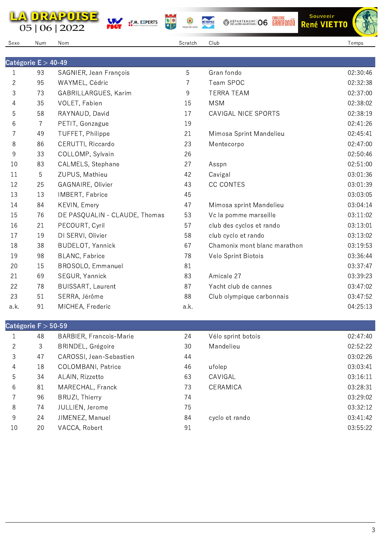









Sexe Num Nom Scratch Club Temps

MÉTROPOLE

|              | Catégorie $E > 40-49$ |                               |      |                              |          |
|--------------|-----------------------|-------------------------------|------|------------------------------|----------|
| $\mathbf{1}$ | 93                    | SAGNIER, Jean François        | 5    | Gran fondo                   | 02:30:46 |
| $\mathbf{2}$ | 95                    | WAYMEL, Cédric                | 7    | Team SPOC                    | 02:32:38 |
| 3            | 73                    | GABRILLARGUES, Karim          | 9    | <b>TERRA TEAM</b>            | 02:37:00 |
| 4            | 35                    | VOLET, Fabien                 | 15   | <b>MSM</b>                   | 02:38:02 |
| 5            | 58                    | RAYNAUD, David                | 17   | CAVIGAL NICE SPORTS          | 02:38:19 |
| 6            | 7                     | PETIT, Gonzague               | 19   |                              | 02:41:26 |
| 7            | 49                    | TUFFET, Philippe              | 21   | Mimosa Sprint Mandelieu      | 02:45:41 |
| 8            | 86                    | CERUTTI, Riccardo             | 23   | Mentecorpo                   | 02:47:00 |
| 9            | 33                    | COLLOMP, Sylvain              | 26   |                              | 02:50:46 |
| 10           | 83                    | CALMELS, Stephane             | 27   | Asspn                        | 02:51:00 |
| 11           | 5                     | ZUPUS, Mathieu                | 42   | Cavigal                      | 03:01:36 |
| 12           | 25                    | GAGNAIRE, Olivier             | 43   | <b>CC CONTES</b>             | 03:01:39 |
| 13           | 13                    | IMBERT, Fabrice               | 45   |                              | 03:03:05 |
| 14           | 84                    | KEVIN, Emery                  | 47   | Mimosa sprint Mandelieu      | 03:04:14 |
| 15           | 76                    | DE PASQUALIN - CLAUDE, Thomas | 53   | Vc la pomme marseille        | 03:11:02 |
| 16           | 21                    | PECOURT, Cyril                | 57   | club des cyclos et rando     | 03:13:01 |
| 17           | 19                    | DI SERVI, Olivier             | 58   | club cyclo et rando          | 03:13:02 |
| 18           | 38                    | <b>BUDELOT, Yannick</b>       | 67   | Chamonix mont blanc marathon | 03:19:53 |
| 19           | 98                    | <b>BLANC, Fabrice</b>         | 78   | Velo Sprint Biotois          | 03:36:44 |
| 20           | 15                    | BROSOLO, Emmanuel             | 81   |                              | 03:37:47 |
| 21           | 69                    | SEGUR, Yannick                | 83   | Amicale 27                   | 03:39:23 |
| 22           | 78                    | <b>BUISSART, Laurent</b>      | 87   | Yacht club de cannes         | 03:47:02 |
| 23           | 51                    | SERRA, Jérôme                 | 88   | Club olympique carbonnais    | 03:47:52 |
| a.k.         | 91                    | MICHEA, Frederic              | a.k. |                              | 04:25:13 |

| JALEKUHE I 200-JJ |    |                                |    |                    |          |  |
|-------------------|----|--------------------------------|----|--------------------|----------|--|
|                   | 48 | <b>BARBIER, Francois-Marie</b> | 24 | Vélo sprint botois | 02:47:40 |  |
| 2                 | 3  | BRINDEL, Grégoire              | 30 | Mandelieu          | 02:52:22 |  |
| 3                 | 47 | CAROSSI, Jean-Sebastien        | 44 |                    | 03:02:26 |  |
| $\overline{4}$    | 18 | <b>COLOMBANI</b> , Patrice     | 46 | ufolep             | 03:03:41 |  |
| 5                 | 34 | ALAIN, Rizzetto                | 63 | CAVIGAL            | 03:16:11 |  |
| 6                 | 81 | MARECHAL, Franck               | 73 | CERAMICA           | 03:28:31 |  |
|                   | 96 | BRUZI, Thierry                 | 74 |                    | 03:29:02 |  |
| 8                 | 74 | JULLIEN, Jerome                | 75 |                    | 03:32:12 |  |
| 9                 | 24 | JIMENEZ, Manuel                | 84 | cyclo et rando     | 03:41:42 |  |
| 10                | 20 | VACCA, Robert                  | 91 |                    | 03:55:22 |  |
|                   |    |                                |    |                    |          |  |